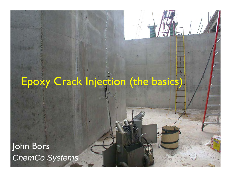# Epoxy Crack Injection (the basics)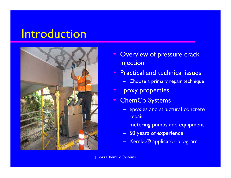#### Introduction



- $\blacktriangledown$  Overview of pressure crack injection
- $\overline{\phantom{a}}$  Practical and technical issues
	- Choose a primary repair technique
- $\overline{\phantom{a}}$ Epoxy properties
- **ThemCo Systems** 
	- – epoxies and structural concrete repair
	- metering pumps and equipment
	- –50 years of experience
	- –Kemko® applicator program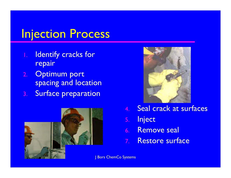#### Injection Process

- Identify cracks for repair
- 2.**Optimum port** spacing and location
- 3.Surface preparation





- 4.. Seal crack at surfaces
- 5.**Inject**
- 6. Remove seal
- 7. Restore surface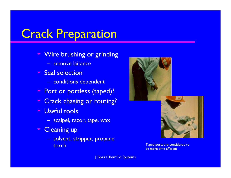#### Crack Preparation

- $\blacktriangledown$ Wire brushing or grinding
	- remove laitance
- $\blacktriangledown$ **Seal selection** 
	- conditions dependent
- **Port or portless (taped)?**
- $\blacktriangledown$ Crack chasing or routing?
- $\blacktriangledown$  Useful tools
	- scalpel, razor, tape, wax
- $\blacktriangledown$  Cleaning up
	- solvent, stripper, propane torch





Taped ports are considered to be more time efficient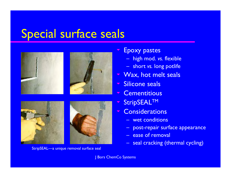#### Special surface seals







StripSEAL—a unique removal surface seal

- $\blacktriangledown$  Epoxy pastes
	- –high mod. *vs.* flexible
	- short *vs.* long potlife
- $\blacktriangledown$ Wax, hot melt seals
- $\blacktriangledown$ Silicone seals
- $\overline{\phantom{a}}$ **Cementitious**
- $\blacktriangledown$ StripSEALTM
- $\blacktriangledown$ **Considerations** 
	- –wet conditions
	- –post-repair surface appearance
	- ease of removal
	- –seal cracking (thermal cycling)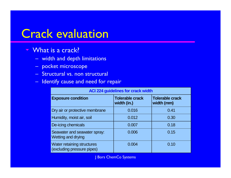#### Crack evaluation

- $\blacktriangledown$ What is a crack?
	- width and depth limitations
	- pocket microscope
	- Structural vs. non structural
	- –Identify cause and need for repair

| <b>ACI 224 guidelines for crack width</b>                 |                                       |                                      |
|-----------------------------------------------------------|---------------------------------------|--------------------------------------|
| <b>Exposure condition</b>                                 | <b>Tolerable crack</b><br>width (in.) | <b>Tolerable crack</b><br>width (mm) |
| Dry air or protective membrane                            | 0.016                                 | 0.41                                 |
| Humidity, moist air, soil                                 | 0.012                                 | 0.30                                 |
| De-icing chemicals                                        | 0.007                                 | 0.18                                 |
| Seawater and seawater spray:<br><b>Wetting and drying</b> | 0.006                                 | 0.15                                 |
| Water retaining structures<br>(excluding pressure pipes)  | 0.004                                 | 0.10                                 |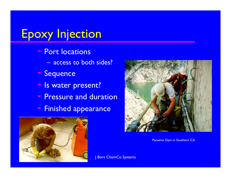# Epoxy Injection

- **The Port locations** 
	- access to both sides?
- Sequence
- $\sum$ Is water present?
- **Pressure and duration**
- $\nabla$ Finished appearance





Pacoima Dam in Southern CA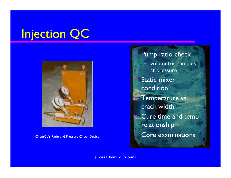# Injection QC



ChemCo's Ratio and Pressure Check Device

 Pump ratio check – volumetric samples at pressure Static mixer condition **Temperature vs.** crack width Cure time and temp relationship Core examinations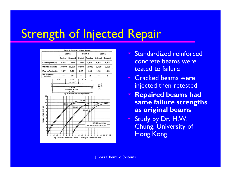## Strength of Injected Repair



- **Standardized reinforced** concrete beams were tested to failure
- Cracked beams were injected then retested
- $\nabla$  **Repaired beams had same failure strengths as original beams**
- **Study by Dr. H.W.** Chung, University of Hong Kong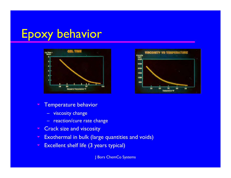## Epoxy behavior





- $\blacktriangledown$  Temperature behavior
	- viscosity change
	- reaction/cure rate change
- Crack size and viscosity
- $\blacktriangledown$ Exothermal in bulk (large quantities and voids)
- $\blacktriangledown$ Excellent shelf life (3 years typical)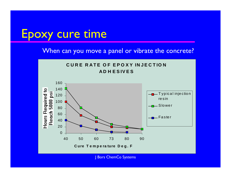#### Epoxy cure time

When can you move a panel or vibrate the concrete?

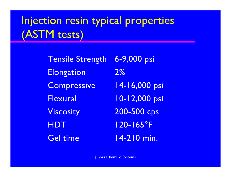## Injection resin typical properties (ASTM tests)

Tensile Strength 6-9,000 psi Elongation 2% Compressive 14-16,000 psi Flexural 10-12,000 psi Viscosity 200-500 cps HDT 120-165°F Gel time 14-210 min.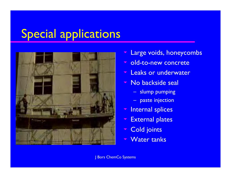# Special applications



- $\blacktriangledown$ Large voids, honeycombs
- $\blacktriangledown$ old-to-new concrete
- $\blacktriangledown$ Leaks or underwater
- $\blacktriangledown$  No backside seal
	- slump pumping
	- paste injection
- $\blacktriangledown$ Internal splices
- $\blacktriangledown$ External plates
- $\blacktriangledown$ Cold joints
- $\blacktriangledown$ Water tanks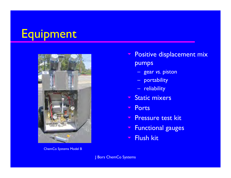# Equipment



ChemCo Systems Model B

- $\blacktriangledown$  Positive displacement mix pumps
	- gear *vs.* piston
	- portability
	- reliability
- **Static mixers**
- $\nabla$ **Ports**
- **Pressure test kit**
- $\blacktriangledown$ Functional gauges
- $\blacktriangledown$ Flush kit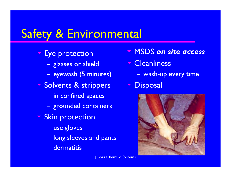## Safety & Environmental

- **Eye protection** 
	- $\mathcal{L}_{\mathcal{A}}$  , where  $\mathcal{L}_{\mathcal{A}}$  is the set of the set of the set of the set of the set of the set of the set of the set of the set of the set of the set of the set of the set of the set of the set of the set of the glasses or shield
	- $\mathcal{L}_{\mathcal{A}}$  , where  $\mathcal{L}_{\mathcal{A}}$  is the set of the set of the set of the set of the set of the set of the set of the set of the set of the set of the set of the set of the set of the set of the set of the set of the eyewash (5 minutes)
- Solvents & strippers • Disposal
	- $\mathcal{L}_{\mathcal{A}}$  , where  $\mathcal{L}_{\mathcal{A}}$  is the set of the set of the set of the set of the set of the set of the set of the set of the set of the set of the set of the set of the set of the set of the set of the set of the in confined spaces
	- $\mathcal{L}_{\mathcal{A}}$  , where  $\mathcal{L}_{\mathcal{A}}$  is the set of the set of the set of the set of the set of the set of the set of the set of the set of the set of the set of the set of the set of the set of the set of the set of the grounded containers
- **Skin protection** 
	- $\mathcal{L}_{\mathcal{A}}$  , where  $\mathcal{L}_{\mathcal{A}}$  is the set of the set of the set of the set of the set of the set of the set of the set of the set of the set of the set of the set of the set of the set of the set of the set of the use gloves
	- $\mathcal{L}_{\mathcal{A}}$  , where  $\mathcal{L}_{\mathcal{A}}$  is the set of the set of the set of the set of the set of the set of the set of the set of the set of the set of the set of the set of the set of the set of the set of the set of the long sleeves and pants
	- dermatitis
- MSDS *on site access*
- **Cleanliness** 
	- $\mathcal{L}_{\mathcal{A}}$  , where  $\mathcal{L}_{\mathcal{A}}$  is the set of the set of the set of the set of the set of the set of the set of the set of the set of the set of the set of the set of the set of the set of the set of the set of the wash-up every time
-